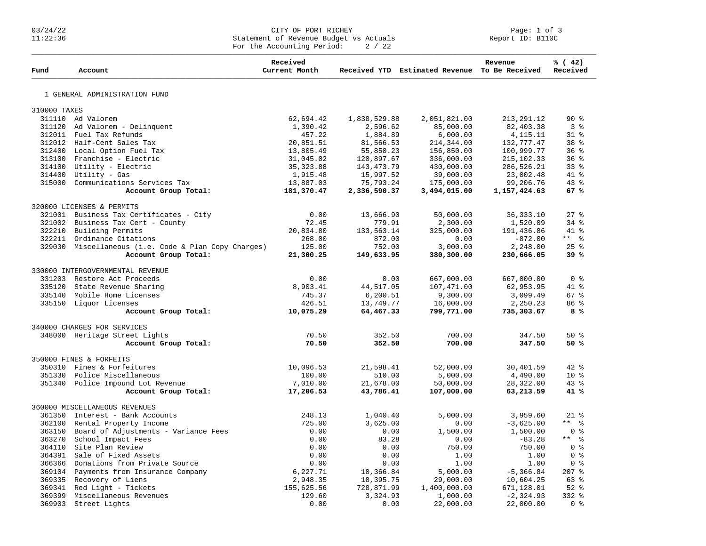## Page: 1 of 3 CITY OF PORT RICHEY<br>11:22:36 Statement of Revenue Budget vs Actuals Report ID: B110C 11:22:36 Statement of Revenue Budget vs Actuals Report ID: B110C For the Accounting Period:  $2 / 22$

| Fund                          | Account                                              | Received<br>Current Month |              | Received YTD Estimated Revenue To Be Received | Revenue      | % (42)<br>Received |
|-------------------------------|------------------------------------------------------|---------------------------|--------------|-----------------------------------------------|--------------|--------------------|
|                               | 1 GENERAL ADMINISTRATION FUND                        |                           |              |                                               |              |                    |
| 310000 TAXES                  |                                                      |                           |              |                                               |              |                    |
|                               | 311110 Ad Valorem                                    | 62,694.42                 | 1,838,529.88 | 2,051,821.00                                  | 213, 291. 12 | $90*$              |
|                               | 311120 Ad Valorem - Delinquent                       | 1,390.42                  | 2,596.62     | 85,000.00                                     | 82,403.38    | 3 <sup>8</sup>     |
|                               | 312011 Fuel Tax Refunds                              | 457.22                    | 1,884.89     | 6,000.00                                      | 4, 115. 11   | $31*$              |
|                               | 312012 Half-Cent Sales Tax                           | 20,851.51                 | 81,566.53    | 214,344.00                                    | 132,777.47   | 38 <sup>8</sup>    |
|                               | 312400 Local Option Fuel Tax                         | 13,805.49                 | 55,850.23    | 156,850.00                                    | 100,999.77   | 36%                |
|                               | 313100 Franchise - Electric                          | 31,045.02                 | 120,897.67   | 336,000.00                                    | 215, 102.33  | 36%                |
|                               | 314100 Utility - Electric                            | 35, 323.88                | 143,473.79   | 430,000.00                                    | 286,526.21   | 33%                |
|                               | 314400 Utility - Gas                                 | 1,915.48                  | 15,997.52    | 39,000.00                                     | 23,002.48    | 41 %               |
|                               | 315000 Communications Services Tax                   | 13,887.03                 | 75,793.24    | 175,000.00                                    | 99,206.76    | $43$ $%$           |
|                               | Account Group Total:                                 | 181,370.47                | 2,336,590.37 | 3,494,015.00                                  | 1,157,424.63 | 67%                |
|                               | 320000 LICENSES & PERMITS                            |                           |              |                                               |              |                    |
|                               | 321001 Business Tax Certificates - City              | 0.00                      | 13,666.90    | 50,000.00                                     | 36, 333. 10  | $27$ $%$           |
|                               | 321002 Business Tax Cert - County                    | 72.45                     | 779.91       | 2,300.00                                      | 1,520.09     | $34$ $%$           |
|                               | 322210 Building Permits                              | 20,834.80                 | 133,563.14   | 325,000.00                                    | 191,436.86   | 41 %               |
|                               | 322211 Ordinance Citations                           | 268.00                    | 872.00       | 0.00                                          | $-872.00$    | $***$ $ -$         |
|                               | 329030 Miscellaneous (i.e. Code & Plan Copy Charges) | 125.00                    | 752.00       | 3,000.00                                      | 2,248.00     | $25$ %             |
|                               | Account Group Total:                                 | 21,300.25                 | 149,633.95   | 380,300.00                                    | 230,666.05   | 39%                |
|                               | 330000 INTERGOVERNMENTAL REVENUE                     |                           |              |                                               |              |                    |
|                               | 331203 Restore Act Proceeds                          | 0.00                      | 0.00         | 667,000.00                                    | 667,000.00   | 0 <sup>8</sup>     |
|                               | 335120 State Revenue Sharing                         | 8,903.41                  | 44,517.05    | 107,471.00                                    | 62,953.95    | 41 %               |
|                               | 335140 Mobile Home Licenses                          | 745.37                    | 6, 200.51    | 9,300.00                                      | 3,099.49     | 67%                |
|                               | 335150 Liquor Licenses                               | 426.51                    | 13,749.77    | 16,000.00                                     | 2,250.23     | 86 <sup>8</sup>    |
|                               | Account Group Total:                                 | 10,075.29                 | 64,467.33    | 799,771.00                                    | 735,303.67   | 8 %                |
|                               | 340000 CHARGES FOR SERVICES                          |                           |              |                                               |              |                    |
| 348000 Heritage Street Lights |                                                      | 70.50                     | 352.50       | 700.00                                        | 347.50       | 50%                |
|                               | Account Group Total:                                 | 70.50                     | 352.50       | 700.00                                        | 347.50       | 50%                |
|                               | 350000 FINES & FORFEITS                              |                           |              |                                               |              |                    |
|                               | 350310 Fines & Forfeitures                           | 10,096.53                 | 21,598.41    | 52,000.00                                     | 30,401.59    | 42.8               |
|                               | 351330 Police Miscellaneous                          | 100.00                    | 510.00       | 5,000.00                                      | 4,490.00     | 10 <sup>°</sup>    |
|                               | 351340 Police Impound Lot Revenue                    | 7,010.00                  | 21,678.00    | 50,000.00                                     | 28,322.00    | $43$ $%$           |
|                               | Account Group Total:                                 | 17,206.53                 | 43,786.41    | 107,000.00                                    | 63,213.59    | 41%                |
|                               | 360000 MISCELLANEOUS REVENUES                        |                           |              |                                               |              |                    |
|                               | 361350 Interest - Bank Accounts                      | 248.13                    | 1,040.40     | 5,000.00                                      | 3,959.60     | $21*$              |
|                               | 362100 Rental Property Income                        | 725.00                    | 3,625.00     | 0.00                                          | $-3,625.00$  | $***$ %            |
|                               | 363150 Board of Adjustments - Variance Fees          | 0.00                      | 0.00         | 1,500.00                                      | 1,500.00     | 0 <sup>8</sup>     |
|                               | 363270 School Impact Fees                            | 0.00                      | 83.28        | 0.00                                          | $-83.28$     | $***$ %            |
|                               | 364110 Site Plan Review                              | 0.00                      | 0.00         | 750.00                                        | 750.00       | 0 %                |
|                               | 364391 Sale of Fixed Assets                          | 0.00                      | 0.00         | 1.00                                          | 1.00         | 0 <sup>8</sup>     |
|                               | 366366 Donations from Private Source                 | 0.00                      | 0.00         | 1.00                                          | 1.00         | 0 <sup>8</sup>     |
|                               | 369104 Payments from Insurance Company               | 6,227.71                  | 10,366.84    | 5,000.00                                      | $-5, 366.84$ | $207$ %            |
|                               | 369335 Recovery of Liens                             | 2,948.35                  | 18,395.75    | 29,000.00                                     | 10,604.25    | 63 %               |
| 369341                        | Red Light - Tickets                                  | 155,625.56                | 728,871.99   | 1,400,000.00                                  | 671,128.01   | $52$ $%$           |
|                               | 369399 Miscellaneous Revenues                        | 129.60                    | 3,324.93     | 1,000.00                                      | $-2, 324.93$ | $332*$             |
| 369903                        | Street Lights                                        | 0.00                      | 0.00         | 22,000.00                                     | 22,000.00    | 0 <sup>8</sup>     |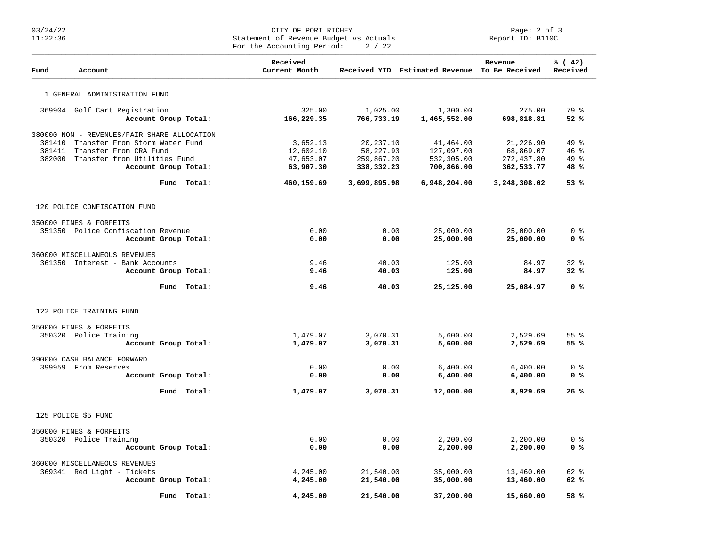## 03/24/22 CITY OF PORT RICHEY Page: 2 of 3 11:22:36 Statement of Revenue Budget vs Actuals Report ID: B110C For the Accounting Period:  $2 / 22$

| Fund   | Account                                                                       |                      | Received<br>Current Month |                        | Received YTD Estimated Revenue To Be Received | Revenue                | % (42)<br>Received      |
|--------|-------------------------------------------------------------------------------|----------------------|---------------------------|------------------------|-----------------------------------------------|------------------------|-------------------------|
|        | 1 GENERAL ADMINISTRATION FUND                                                 |                      |                           |                        |                                               |                        |                         |
|        | 369904 Golf Cart Registration                                                 | Account Group Total: | 325.00<br>166,229.35      | 1,025.00<br>766,733.19 | 1,300.00<br>1,465,552.00                      | 275.00<br>698,818.81   | 79 %<br>52%             |
|        |                                                                               |                      |                           |                        |                                               |                        |                         |
| 381410 | 380000 NON - REVENUES/FAIR SHARE ALLOCATION<br>Transfer From Storm Water Fund |                      | 3,652.13                  | 20,237.10              | 41,464.00                                     | 21,226.90              | 49 %                    |
| 381411 | Transfer From CRA Fund                                                        |                      | 12,602.10                 | 58,227.93              | 127,097.00                                    | 68,869.07              | 46%                     |
|        | 382000 Transfer from Utilities Fund                                           |                      | 47,653.07                 | 259,867.20             | 532,305.00                                    | 272,437.80             | $49*$                   |
|        |                                                                               | Account Group Total: | 63,907.30                 | 338,332.23             | 700,866.00                                    | 362,533.77             | 48%                     |
|        |                                                                               | Fund Total:          | 460,159.69                | 3,699,895.98           | 6,948,204.00                                  | 3,248,308.02           | 53%                     |
|        | 120 POLICE CONFISCATION FUND                                                  |                      |                           |                        |                                               |                        |                         |
|        |                                                                               |                      |                           |                        |                                               |                        |                         |
|        | 350000 FINES & FORFEITS<br>351350 Police Confiscation Revenue                 |                      | 0.00                      | 0.00                   | 25,000.00                                     |                        | 0 <sup>8</sup>          |
|        |                                                                               | Account Group Total: | 0.00                      | 0.00                   | 25,000.00                                     | 25,000.00<br>25,000.00 | 0 <sup>8</sup>          |
|        |                                                                               |                      |                           |                        |                                               |                        |                         |
|        | 360000 MISCELLANEOUS REVENUES                                                 |                      |                           |                        |                                               |                        |                         |
|        | 361350 Interest - Bank Accounts                                               |                      | 9.46                      | 40.03                  | 125.00                                        | 84.97                  | 328                     |
|        |                                                                               | Account Group Total: | 9.46                      | 40.03                  | 125.00                                        | 84.97                  | 32%                     |
|        |                                                                               | Fund Total:          | 9.46                      | 40.03                  | 25,125.00                                     | 25,084.97              | 0 <sup>8</sup>          |
|        | 122 POLICE TRAINING FUND                                                      |                      |                           |                        |                                               |                        |                         |
|        | 350000 FINES & FORFEITS                                                       |                      |                           |                        |                                               |                        |                         |
|        | 350320 Police Training                                                        |                      | 1,479.07                  | 3,070.31               | 5,600.00                                      | 2,529.69               | 55 <sup>8</sup>         |
|        |                                                                               | Account Group Total: | 1,479.07                  | 3,070.31               | 5,600.00                                      | 2,529.69               | 55%                     |
|        |                                                                               |                      |                           |                        |                                               |                        |                         |
|        | 390000 CASH BALANCE FORWARD                                                   |                      |                           |                        |                                               |                        |                         |
|        | 399959 From Reserves                                                          |                      | 0.00                      | 0.00                   | 6,400.00                                      | 6,400.00               | $0 \text{ }$ $\text{ }$ |
|        |                                                                               | Account Group Total: | 0.00                      | 0.00                   | 6,400.00                                      | 6,400.00               | 0 <sup>8</sup>          |
|        |                                                                               | Fund Total:          | 1,479.07                  | 3,070.31               | 12,000.00                                     | 8,929.69               | 26%                     |
|        | 125 POLICE \$5 FUND                                                           |                      |                           |                        |                                               |                        |                         |
|        | 350000 FINES & FORFEITS                                                       |                      |                           |                        |                                               |                        |                         |
|        | 350320 Police Training                                                        |                      | 0.00                      | 0.00                   | 2,200.00                                      | 2,200.00               | 0 <sup>8</sup>          |
|        |                                                                               | Account Group Total: | 0.00                      | 0.00                   | 2,200.00                                      | 2,200.00               | 0 <sup>8</sup>          |
|        |                                                                               |                      |                           |                        |                                               |                        |                         |
|        | 360000 MISCELLANEOUS REVENUES                                                 |                      |                           |                        |                                               |                        |                         |
|        | 369341 Red Light - Tickets                                                    |                      | 4,245.00                  | 21,540.00              | 35,000.00                                     | 13,460.00              | $62$ $%$                |
|        |                                                                               | Account Group Total: | 4,245.00                  | 21,540.00              | 35,000.00                                     | 13,460.00              | 62%                     |
|        |                                                                               | Fund Total:          | 4,245.00                  | 21,540.00              | 37,200.00                                     | 15,660.00              | 58 %                    |